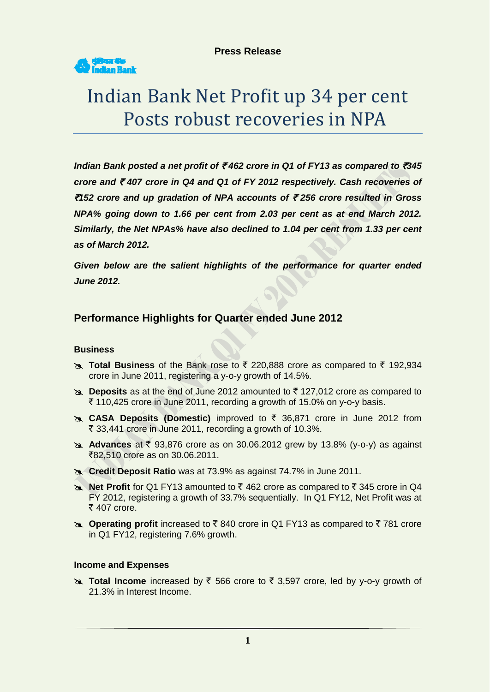

# Indian Bank Net Profit up 34 per cent Posts robust recoveries in NPA

*Indian Bank posted a net profit of ₹462 crore in Q1 of FY13 as compared to ₹345 crore and* ` *407 crore in Q4 and Q1 of FY 2012 respectively. Cash recoveries of*  `*152 crore and up gradation of NPA accounts of* ` *256 crore resulted in Gross NPA% going down to 1.66 per cent from 2.03 per cent as at end March 2012. Similarly, the Net NPAs% have also declined to 1.04 per cent from 1.33 per cent as of March 2012.*

*Given below are the salient highlights of the performance for quarter ended June 2012.*

# **Performance Highlights for Quarter ended June 2012**

# **Business**

- **Ex Total Business** of the Bank rose to ₹ 220,888 crore as compared to ₹ 192,934 crore in June 2011, registering a y-o-y growth of 14.5%.
- **EX Deposits** as at the end of June 2012 amounted to ₹127,012 crore as compared to  $\bar{\tau}$  110,425 crore in June 2011, recording a growth of 15.0% on y-o-y basis.
- **EXAL DEPOSITS (Domestic)** improved to ₹ 36,871 crore in June 2012 from  $\bar{\tau}$  33,441 crore in June 2011, recording a growth of 10.3%.
- **Advances** at ₹ 93,876 crore as on 30.06.2012 grew by 13.8% (y-o-y) as against ₹82,510 crore as on 30.06.2011.
- **Credit Deposit Ratio** was at 73.9% as against 74.7% in June 2011.
- **A Net Profit** for Q1 FY13 amounted to ₹ 462 crore as compared to ₹ 345 crore in Q4 FY 2012, registering a growth of 33.7% sequentially. In Q1 FY12, Net Profit was at  $\overline{\xi}$  407 crore.
- **A Operating profit** increased to ₹840 crore in Q1 FY13 as compared to ₹781 crore in Q1 FY12, registering 7.6% growth.

#### **Income and Expenses**

**External Income** increased by ₹ 566 crore to ₹ 3,597 crore, led by y-o-y growth of 21.3% in Interest Income.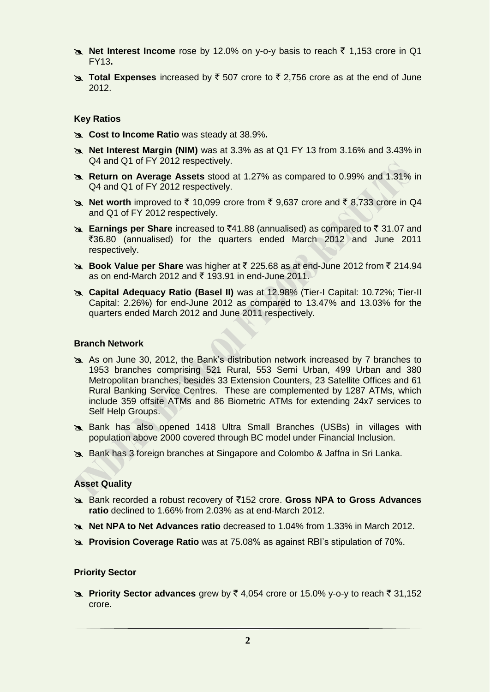- **A Net Interest Income** rose by 12.0% on y-o-y basis to reach ₹ 1,153 crore in Q1 FY13**.**
- **Total Expenses** increased by  $\bar{\xi}$  507 crore to  $\bar{\xi}$  2,756 crore as at the end of June 2012.

#### **Key Ratios**

- **Cost to Income Ratio** was steady at 38.9%**.**
- **Net Interest Margin (NIM)** was at 3.3% as at Q1 FY 13 from 3.16% and 3.43% in Q4 and Q1 of FY 2012 respectively.
- **Return on Average Assets** stood at 1.27% as compared to 0.99% and 1.31% in Q4 and Q1 of FY 2012 respectively.
- **Net worth** improved to  $\bar{\tau}$  10,099 crore from  $\bar{\tau}$  9,637 crore and  $\bar{\tau}$  8,733 crore in Q4 and Q1 of FY 2012 respectively.
- **Earnings per Share** increased to ₹41.88 (annualised) as compared to ₹31.07 and `36.80 (annualised) for the quarters ended March 2012 and June 2011 respectively.
- **Book Value per Share** was higher at ₹ 225.68 as at end-June 2012 from ₹ 214.94 as on end-March 2012 and  $\bar{\tau}$  193.91 in end-June 2011.
- **Capital Adequacy Ratio (Basel II)** was at 12.98% (Tier-I Capital: 10.72%; Tier-II Capital: 2.26%) for end-June 2012 as compared to 13.47% and 13.03% for the quarters ended March 2012 and June 2011 respectively.

#### **Branch Network**

- As on June 30, 2012, the Bank's distribution network increased by 7 branches to 1953 branches comprising 521 Rural, 553 Semi Urban, 499 Urban and 380 Metropolitan branches, besides 33 Extension Counters, 23 Satellite Offices and 61 Rural Banking Service Centres. These are complemented by 1287 ATMs, which include 359 offsite ATMs and 86 Biometric ATMs for extending 24x7 services to Self Help Groups.
- Bank has also opened 1418 Ultra Small Branches (USBs) in villages with population above 2000 covered through BC model under Financial Inclusion.
- Bank has 3 foreign branches at Singapore and Colombo & Jaffna in Sri Lanka.

#### **Asset Quality**

- Bank recorded a robust recovery of `152 crore. **Gross NPA to Gross Advances ratio** declined to 1.66% from 2.03% as at end-March 2012.
- **Net NPA to Net Advances ratio** decreased to 1.04% from 1.33% in March 2012.
- **Provision Coverage Ratio** was at 75.08% as against RBI's stipulation of 70%.

#### **Priority Sector**

**EX** Priority Sector advances grew by ₹4,054 crore or 15.0% y-o-y to reach ₹31,152 crore.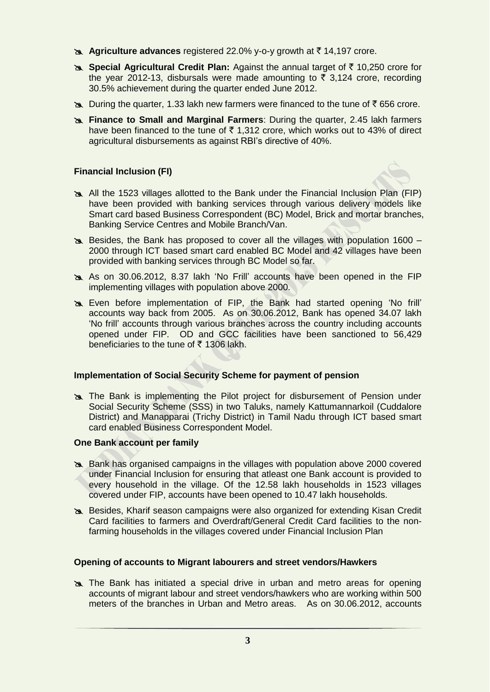- **Agriculture advances** registered 22.0% y-o-y growth at ₹14,197 crore.
- **B. Special Agricultural Credit Plan:** Against the annual target of ₹10,250 crore for the year 2012-13, disbursals were made amounting to  $\overline{2}$  3,124 crore, recording 30.5% achievement during the quarter ended June 2012.
- $\approx$  During the quarter, 1.33 lakh new farmers were financed to the tune of  $\bar{\tau}$  656 crore.
- **Finance to Small and Marginal Farmers**: During the quarter, 2.45 lakh farmers have been financed to the tune of  $\bar{\tau}$  1,312 crore, which works out to 43% of direct agricultural disbursements as against RBI's directive of 40%.

# **Financial Inclusion (FI)**



- All the 1523 villages allotted to the Bank under the Financial Inclusion Plan (FIP) have been provided with banking services through various delivery models like Smart card based Business Correspondent (BC) Model, Brick and mortar branches, Banking Service Centres and Mobile Branch/Van.
- Besides, the Bank has proposed to cover all the villages with population 1600 2000 through ICT based smart card enabled BC Model and 42 villages have been provided with banking services through BC Model so far.
- As on 30.06.2012, 8.37 lakh 'No Frill' accounts have been opened in the FIP implementing villages with population above 2000.
- Even before implementation of FIP, the Bank had started opening 'No frill' accounts way back from 2005. As on 30.06.2012, Bank has opened 34.07 lakh 'No frill' accounts through various branches across the country including accounts opened under FIP. OD and GCC facilities have been sanctioned to 56,429 beneficiaries to the tune of  $\bar{\tau}$  1306 lakh.

#### **Implementation of Social Security Scheme for payment of pension**

**The Bank is implementing the Pilot project for disbursement of Pension under** Social Security Scheme (SSS) in two Taluks, namely Kattumannarkoil (Cuddalore District) and Manapparai (Trichy District) in Tamil Nadu through ICT based smart card enabled Business Correspondent Model.

#### **One Bank account per family**

- Bank has organised campaigns in the villages with population above 2000 covered under Financial Inclusion for ensuring that atleast one Bank account is provided to every household in the village. Of the 12.58 lakh households in 1523 villages covered under FIP, accounts have been opened to 10.47 lakh households.
- Besides, Kharif season campaigns were also organized for extending Kisan Credit Card facilities to farmers and Overdraft/General Credit Card facilities to the nonfarming households in the villages covered under Financial Inclusion Plan

#### **Opening of accounts to Migrant labourers and street vendors/Hawkers**

 The Bank has initiated a special drive in urban and metro areas for opening accounts of migrant labour and street vendors/hawkers who are working within 500 meters of the branches in Urban and Metro areas. As on 30.06.2012, accounts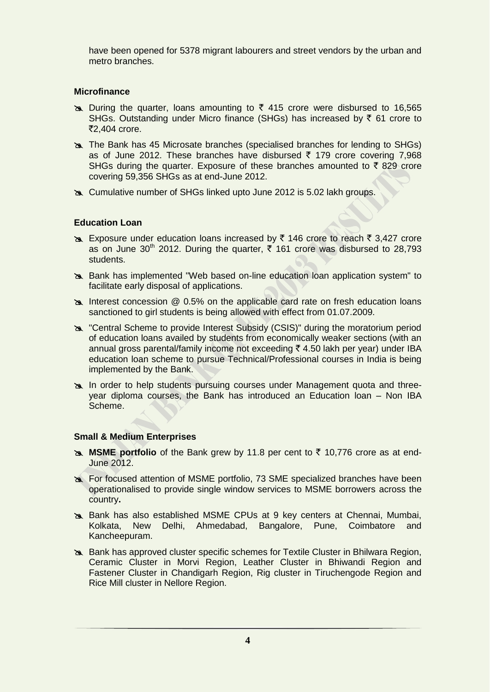have been opened for 5378 migrant labourers and street vendors by the urban and metro branches.

# **Microfinance**

- $\approx$  During the quarter, loans amounting to  $\bar{\tau}$  415 crore were disbursed to 16,565 SHGs. Outstanding under Micro finance (SHGs) has increased by  $\bar{\tau}$  61 crore to ₹2,404 crore.
- The Bank has 45 Microsate branches (specialised branches for lending to SHGs) as of June 2012. These branches have disbursed  $\bar{\tau}$  179 crore covering 7,968 SHGs during the quarter. Exposure of these branches amounted to  $\bar{\tau}$  829 crore covering 59,356 SHGs as at end-June 2012.
- Cumulative number of SHGs linked upto June 2012 is 5.02 lakh groups.

# **Education Loan**

- Exposure under education loans increased by  $\bar{\tau}$  146 crore to reach  $\bar{\tau}$  3,427 crore as on June 30<sup>th</sup> 2012. During the quarter,  $\overline{5}$  161 crore was disbursed to 28,793 students.
- Bank has implemented "Web based on-line education loan application system" to facilitate early disposal of applications.
- Interest concession @ 0.5% on the applicable card rate on fresh education loans sanctioned to girl students is being allowed with effect from 01.07.2009.
- "Central Scheme to provide Interest Subsidy (CSIS)" during the moratorium period of education loans availed by students from economically weaker sections (with an annual gross parental/family income not exceeding  $\bar{\tau}$  4.50 lakh per year) under IBA education loan scheme to pursue Technical/Professional courses in India is being implemented by the Bank.
- In order to help students pursuing courses under Management quota and threeyear diploma courses, the Bank has introduced an Education loan – Non IBA Scheme.

#### **Small & Medium Enterprises**

- **MSME portfolio** of the Bank grew by 11.8 per cent to  $\bar{\tau}$  10,776 crore as at end-June 2012.
- For focused attention of MSME portfolio, 73 SME specialized branches have been operationalised to provide single window services to MSME borrowers across the country**.**
- Bank has also established MSME CPUs at 9 key centers at Chennai, Mumbai, Kolkata, New Delhi, Ahmedabad, Bangalore, Pune, Coimbatore and Kancheepuram.
- Bank has approved cluster specific schemes for Textile Cluster in Bhilwara Region, Ceramic Cluster in Morvi Region, Leather Cluster in Bhiwandi Region and Fastener Cluster in Chandigarh Region, Rig cluster in Tiruchengode Region and Rice Mill cluster in Nellore Region.